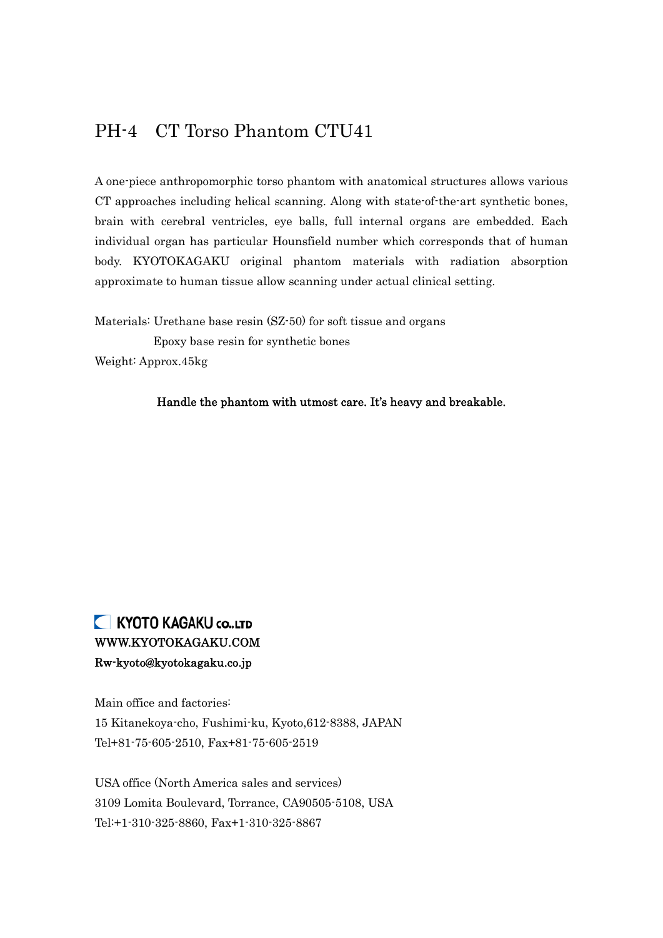## PH-4 CT Torso Phantom CTU41

A one-piece anthropomorphic torso phantom with anatomical structures allows various CT approaches including helical scanning. Along with state-of-the-art synthetic bones, brain with cerebral ventricles, eye balls, full internal organs are embedded. Each individual organ has particular Hounsfield number which corresponds that of human body. KYOTOKAGAKU original phantom materials with radiation absorption approximate to human tissue allow scanning under actual clinical setting.

Materials: Urethane base resin (SZ-50) for soft tissue and organs Epoxy base resin for synthetic bones Weight: Approx.45kg

Handle the phantom with utmost care. It's heavy and breakable.

## KYOTO KAGAKU CO., LTD WWW.KYOTOKAGAKU.COM Rw-kyoto@kyotokagaku.co.jp

Main office and factories: 15 Kitanekoya-cho, Fushimi-ku, Kyoto,612-8388, JAPAN Tel+81-75-605-2510, Fax+81-75-605-2519

USA office (North America sales and services) 3109 Lomita Boulevard, Torrance, CA90505-5108, USA Tel:+1-310-325-8860, Fax+1-310-325-8867